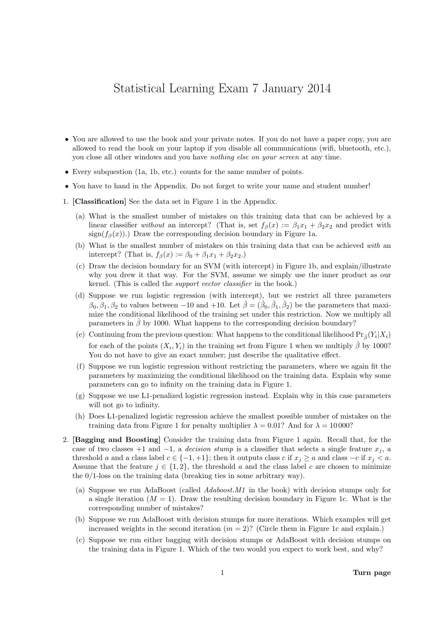## Statistical Learning Exam 7 January 2014

- You are allowed to use the book and your private notes. If you do not have a paper copy, you are allowed to read the book on your laptop if you disable all communications (wifi, bluetooth, etc.), you close all other windows and you have nothing else on your screen at any time.
- Every subquestion (1a, 1b, etc.) counts for the same number of points.
- You have to hand in the Appendix. Do not forget to write your name and student number!
- 1. [Classification] See the data set in Figure 1 in the Appendix.
	- (a) What is the smallest number of mistakes on this training data that can be achieved by a linear classifier without an intercept? (That is, set  $f_\beta(x) := \beta_1 x_1 + \beta_2 x_2$  and predict with sign( $f_\beta(x)$ ).) Draw the corresponding decision boundary in Figure 1a.
	- (b) What is the smallest number of mistakes on this training data that can be achieved with an intercept? (That is,  $f_\beta(x) := \beta_0 + \beta_1 x_1 + \beta_2 x_2$ .)
	- (c) Draw the decision boundary for an SVM (with intercept) in Figure 1b, and explain/illustrate why you drew it that way. For the SVM, assume we simply use the inner product as our kernel. (This is called the support vector classifier in the book.)
	- (d) Suppose we run logistic regression (with intercept), but we restrict all three parameters  $\beta_0, \beta_1, \beta_2$  to values between -10 and +10. Let  $\hat{\beta} = (\hat{\beta}_0, \hat{\beta}_1, \hat{\beta}_2)$  be the parameters that maximize the conditional likelihood of the training set under this restriction. Now we multiply all parameters in  $\hat{\beta}$  by 1000. What happens to the corresponding decision boundary?
	- (e) Continuing from the previous question: What happens to the conditional likelihood  $Pr_{\hat{\beta}}(Y_i|X_i)$ for each of the points  $(X_i, Y_i)$  in the training set from Figure 1 when we multiply  $\hat{\beta}$  by 1000? You do not have to give an exact number; just describe the qualitative effect.
	- (f) Suppose we run logistic regression without restricting the parameters, where we again fit the parameters by maximizing the conditional likelihood on the training data. Explain why some parameters can go to infinity on the training data in Figure 1.
	- (g) Suppose we use L1-penalized logistic regression instead. Explain why in this case parameters will not go to infinity.
	- (h) Does L1-penalized logistic regression achieve the smallest possible number of mistakes on the training data from Figure 1 for penalty multiplier  $\lambda = 0.01$ ? And for  $\lambda = 10000$ ?
- 2. [Bagging and Boosting] Consider the training data from Figure 1 again. Recall that, for the case of two classes +1 and -1, a *decision stump* is a classifier that selects a single feature  $x_j$ , a threshold a and a class label  $c \in \{-1, +1\}$ ; then it outputs class c if  $x_j \ge a$  and class  $-c$  if  $x_j < a$ . Assume that the feature  $j \in \{1,2\}$ , the threshold a and the class label c are chosen to minimize the 0/1-loss on the training data (breaking ties in some arbitrary way).
	- (a) Suppose we run AdaBoost (called Adaboost.M1 in the book) with decision stumps only for a single iteration  $(M = 1)$ . Draw the resulting decision boundary in Figure 1c. What is the corresponding number of mistakes?
	- (b) Suppose we run AdaBoost with decision stumps for more iterations. Which examples will get increased weights in the second iteration  $(m = 2)$ ? (Circle them in Figure 1c and explain.)
	- (c) Suppose we run either bagging with decision stumps or AdaBoost with decision stumps on the training data in Figure 1. Which of the two would you expect to work best, and why?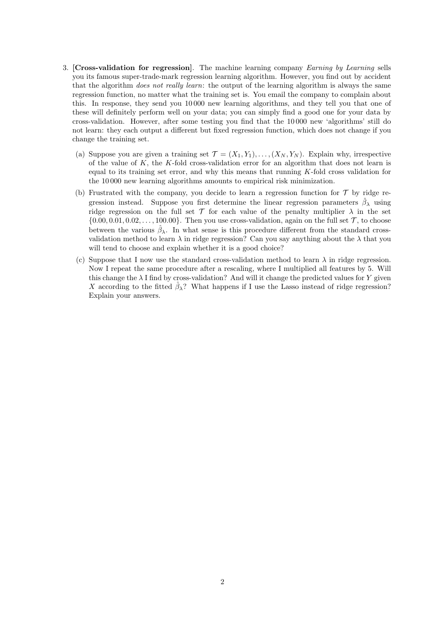- 3. [Cross-validation for regression]. The machine learning company Earning by Learning sells you its famous super-trade-mark regression learning algorithm. However, you find out by accident that the algorithm *does not really learn*: the output of the learning algorithm is always the same regression function, no matter what the training set is. You email the company to complain about this. In response, they send you 10 000 new learning algorithms, and they tell you that one of these will definitely perform well on your data; you can simply find a good one for your data by cross-validation. However, after some testing you find that the 10 000 new 'algorithms' still do not learn: they each output a different but fixed regression function, which does not change if you change the training set.
	- (a) Suppose you are given a training set  $\mathcal{T} = (X_1, Y_1), \ldots, (X_N, Y_N)$ . Explain why, irrespective of the value of  $K$ , the K-fold cross-validation error for an algorithm that does not learn is equal to its training set error, and why this means that running K-fold cross validation for the 10 000 new learning algorithms amounts to empirical risk minimization.
	- (b) Frustrated with the company, you decide to learn a regression function for  $\mathcal T$  by ridge regression instead. Suppose you first determine the linear regression parameters  $\hat{\beta}_{\lambda}$  using ridge regression on the full set  $\mathcal T$  for each value of the penalty multiplier  $\lambda$  in the set  $\{0.00, 0.01, 0.02, \ldots, 100.00\}$ . Then you use cross-validation, again on the full set  $\mathcal{T}$ , to choose between the various  $\hat{\beta}_{\lambda}$ . In what sense is this procedure different from the standard crossvalidation method to learn  $\lambda$  in ridge regression? Can you say anything about the  $\lambda$  that you will tend to choose and explain whether it is a good choice?
	- (c) Suppose that I now use the standard cross-validation method to learn  $\lambda$  in ridge regression. Now I repeat the same procedure after a rescaling, where I multiplied all features by 5. Will this change the  $\lambda$  I find by cross-validation? And will it change the predicted values for Y given X according to the fitted  $\hat{\beta}_{\lambda}$ ? What happens if I use the Lasso instead of ridge regression? Explain your answers.